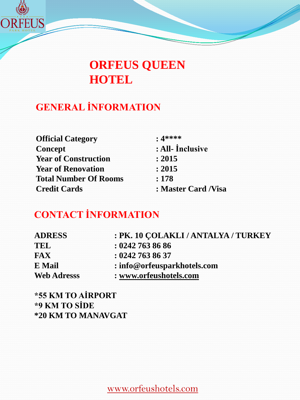

## **ORFEUS QUEEN HOTEL**

## **GENERAL İNFORMATION**

| <b>Official Category</b>     | $: 4****$            |
|------------------------------|----------------------|
| Concept                      | : All- Inclusive     |
| <b>Year of Construction</b>  | : 2015               |
| <b>Year of Renovation</b>    | : 2015               |
| <b>Total Number Of Rooms</b> | : 178                |
| <b>Credit Cards</b>          | : Master Card / Visa |

## **CONTACT İNFORMATION**

| <b>ADRESS</b>      | : PK. 10 COLAKLI / ANTALYA / TURKEY |
|--------------------|-------------------------------------|
| TEL                | : 02427638686                       |
| <b>FAX</b>         | : 02427638637                       |
| E Mail             | : info@orfeusparkhotels.com         |
| <b>Web Adresss</b> | : www.orfeushotels.com              |

**\*55 KM TO AİRPORT \*9 KM TO SİDE \*20 KM TO MANAVGAT**

www.orfeushotels.com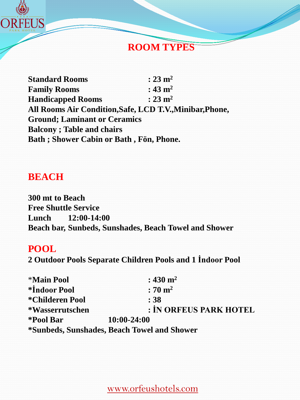

#### **ROOM TYPES**

**Standard Rooms : 23 m2 Family Rooms : 43 m2 Handicapped Rooms : 23 m2 All Rooms Air Condition,Safe, LCD T.V.,Minibar,Phone, Ground; Laminant or Ceramics Balcony ; Table and chairs Bath ; Shower Cabin or Bath , Fön, Phone.**

#### **BEACH**

**300 mt to Beach Free Shuttle Service Lunch 12:00-14:00 Beach bar, Sunbeds, Sunshades, Beach Towel and Shower**

#### **POOL**

**2 Outdoor Pools Separate Children Pools and 1 İndoor Pool**

| <b>*Main Pool</b> | : 430 $m2$                                  |
|-------------------|---------------------------------------------|
| *Indoor Pool      | $:70 \text{ m}^2$                           |
| *Childeren Pool   | : 38                                        |
| *Wasserrutschen   | : İN ORFEUS PARK HOTEL                      |
| *Pool Bar         | 10:00-24:00                                 |
|                   | *Sunbeds, Sunshades, Beach Towel and Shower |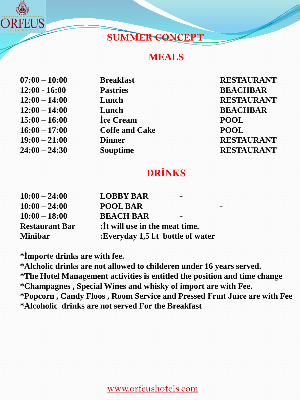

#### **SUMMER CONCEPT**

#### **MEALS**

| $07:00 - 10:00$ | <b>Breakfast</b>      | <b>RESTA</b> |
|-----------------|-----------------------|--------------|
| $12:00 - 16:00$ | <b>Pastries</b>       | <b>BEAC</b>  |
| $12:00 - 14:00$ | Lunch                 | <b>RESTA</b> |
| $12:00 - 14:00$ | Lunch                 | <b>BEAC</b>  |
| $15:00 - 16:00$ | Ice Cream             | <b>POOL</b>  |
| $16:00 - 17:00$ | <b>Coffe and Cake</b> | <b>POOL</b>  |
| $19:00 - 21:00$ | <b>Dinner</b>         | <b>RESTA</b> |
| $24:00 - 24:30$ | <b>Souptime</b>       | <b>RESTA</b> |
|                 |                       |              |

 $\bf RESTAURANT$ **12:00 - 16:00 Pastries BEACHBAR**  $RESTAURANT$  $BEACHBAR$ **19:00 – 21:00 Dinner RESTAURANT**  $RESTAURANT$ 

## **DRİNKS**

| $10:00 - 24:00$       | <b>LOBBY BAR</b>                  |  |
|-----------------------|-----------------------------------|--|
| $10:00 - 24:00$       | <b>POOL BAR</b>                   |  |
| $10:00 - 18:00$       | <b>BEACH BAR</b>                  |  |
| <b>Restaurant Bar</b> | : It will use in the meat time.   |  |
| <b>Minibar</b>        | :Everyday 1,5 l.t bottle of water |  |

**\*İmporte drinks are with fee.**

**\*Alcholic drinks are not allowed to childeren under 16 years served. \*The Hotel Management activities is entitled the position and time change \*Champagnes , Special Wines and whisky of import are with Fee. \*Popcorn , Candy Floos , Room Service and Pressed Fruıt Juıce are with Fee \*Alcoholic drinks are not served For the Breakfast**